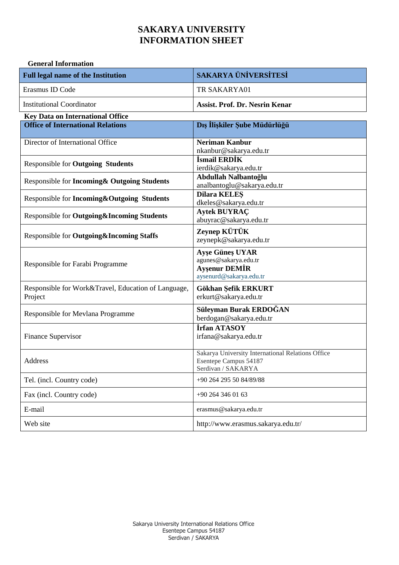#### **General Information**

| <b>Full legal name of the Institution</b>                      | <b>SAKARYA ÜNİVERSİTESİ</b>                                                                        |
|----------------------------------------------------------------|----------------------------------------------------------------------------------------------------|
| Erasmus ID Code                                                | TR SAKARYA01                                                                                       |
| <b>Institutional Coordinator</b>                               | <b>Assist. Prof. Dr. Nesrin Kenar</b>                                                              |
| <b>Key Data on International Office</b>                        |                                                                                                    |
| <b>Office of International Relations</b>                       | Dış İlişkiler Şube Müdürlüğü                                                                       |
| Director of International Office                               | <b>Neriman Kanbur</b><br>nkanbur@sakarya.edu.tr                                                    |
| <b>Responsible for Outgoing Students</b>                       | İsmail ERDİK<br>ierdik@sakarya.edu.tr                                                              |
| Responsible for Incoming & Outgoing Students                   | Abdullah Nalbantoğlu<br>analbantoglu@sakarya.edu.tr                                                |
| Responsible for Incoming&Outgoing Students                     | <b>Dilara KELES</b><br>dkeles@sakarya.edu.tr                                                       |
| Responsible for Outgoing&Incoming Students                     | <b>Aytek BUYRAC</b><br>abuyrac@sakarya.edu.tr                                                      |
| Responsible for Outgoing&Incoming Staffs                       | Zeynep KÜTÜK<br>zeynepk@sakarya.edu.tr                                                             |
| Responsible for Farabi Programme                               | <b>Ayse Günes UYAR</b><br>agunes@sakarya.edu.tr<br><b>Aysenur DEMİR</b><br>aysenurd@sakarya.edu.tr |
| Responsible for Work&Travel, Education of Language,<br>Project | Gökhan Şefik ERKURT<br>erkurt@sakarya.edu.tr                                                       |
| Responsible for Mevlana Programme                              | Süleyman Burak ERDOĞAN<br>berdogan@sakarya.edu.tr                                                  |
| Finance Supervisor                                             | İrfan ATASOY<br>irfana@sakarya.edu.tr                                                              |
| Address                                                        | Sakarya University International Relations Office<br>Esentepe Campus 54187<br>Serdivan / SAKARYA   |
| Tel. (incl. Country code)                                      | +90 264 295 50 84/89/88                                                                            |
| Fax (incl. Country code)                                       | +90 264 346 01 63                                                                                  |
| E-mail                                                         | erasmus@sakarya.edu.tr                                                                             |
| Web site                                                       | http://www.erasmus.sakarya.edu.tr/                                                                 |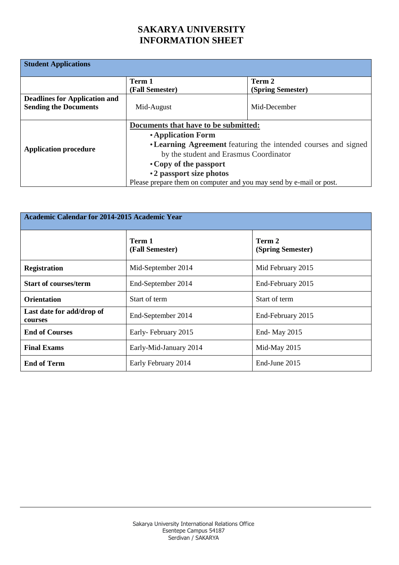| <b>Student Applications</b>                                          |                                                                                                                                                                                                                                                                                                     |                             |
|----------------------------------------------------------------------|-----------------------------------------------------------------------------------------------------------------------------------------------------------------------------------------------------------------------------------------------------------------------------------------------------|-----------------------------|
|                                                                      | Term 1<br>(Fall Semester)                                                                                                                                                                                                                                                                           | Term 2<br>(Spring Semester) |
| <b>Deadlines for Application and</b><br><b>Sending the Documents</b> | Mid-August                                                                                                                                                                                                                                                                                          | Mid-December                |
| <b>Application procedure</b>                                         | Documents that have to be submitted:<br>• Application Form<br>• Learning Agreement featuring the intended courses and signed<br>by the student and Erasmus Coordinator<br>• Copy of the passport<br>• 2 passport size photos<br>Please prepare them on computer and you may send by e-mail or post. |                             |

| <b>Academic Calendar for 2014-2015 Academic Year</b> |                           |                             |
|------------------------------------------------------|---------------------------|-----------------------------|
|                                                      | Term 1<br>(Fall Semester) | Term 2<br>(Spring Semester) |
| <b>Registration</b>                                  | Mid-September 2014        | Mid February 2015           |
| <b>Start of courses/term</b>                         | End-September 2014        | End-February 2015           |
| <b>Orientation</b>                                   | Start of term             | Start of term               |
| Last date for add/drop of<br>courses                 | End-September 2014        | End-February 2015           |
| <b>End of Courses</b>                                | Early-February 2015       | End- May 2015               |
| <b>Final Exams</b>                                   | Early-Mid-January 2014    | Mid-May 2015                |
| <b>End of Term</b>                                   | Early February 2014       | End-June 2015               |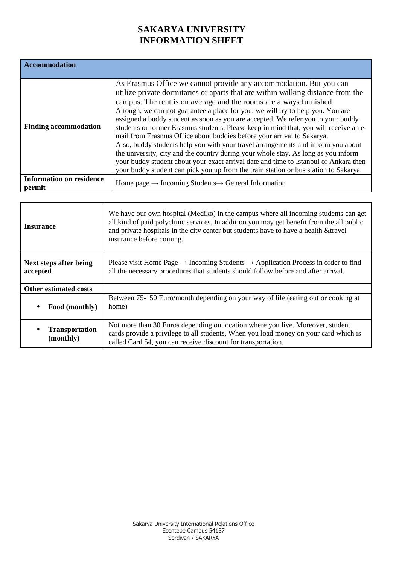| <b>Accommodation</b>                      |                                                                                                                                                                                                                                                                                                                                                                                                                                                                                                                                                                                                                                                                                                                                                                                                                                                                                                                                 |
|-------------------------------------------|---------------------------------------------------------------------------------------------------------------------------------------------------------------------------------------------------------------------------------------------------------------------------------------------------------------------------------------------------------------------------------------------------------------------------------------------------------------------------------------------------------------------------------------------------------------------------------------------------------------------------------------------------------------------------------------------------------------------------------------------------------------------------------------------------------------------------------------------------------------------------------------------------------------------------------|
|                                           |                                                                                                                                                                                                                                                                                                                                                                                                                                                                                                                                                                                                                                                                                                                                                                                                                                                                                                                                 |
| <b>Finding accommodation</b>              | As Erasmus Office we cannot provide any accommodation. But you can<br>utilize private dormitaries or aparts that are within walking distance from the<br>campus. The rent is on average and the rooms are always furnished.<br>Altough, we can not guarantee a place for you, we will try to help you. You are<br>assigned a buddy student as soon as you are accepted. We refer you to your buddy<br>students or former Erasmus students. Please keep in mind that, you will receive an e-<br>mail from Erasmus Office about buddies before your arrival to Sakarya.<br>Also, buddy students help you with your travel arrangements and inform you about<br>the university, city and the country during your whole stay. As long as you inform<br>your buddy student about your exact arrival date and time to Istanbul or Ankara then<br>your buddy student can pick you up from the train station or bus station to Sakarya. |
| <b>Information on residence</b><br>permit | Home page $\rightarrow$ Incoming Students $\rightarrow$ General Information                                                                                                                                                                                                                                                                                                                                                                                                                                                                                                                                                                                                                                                                                                                                                                                                                                                     |
|                                           |                                                                                                                                                                                                                                                                                                                                                                                                                                                                                                                                                                                                                                                                                                                                                                                                                                                                                                                                 |

| <b>Insurance</b>                   | We have our own hospital (Mediko) in the campus where all incoming students can get<br>all kind of paid polyclinic services. In addition you may get benefit from the all public<br>and private hospitals in the city center but students have to have a health &travel<br>insurance before coming. |
|------------------------------------|-----------------------------------------------------------------------------------------------------------------------------------------------------------------------------------------------------------------------------------------------------------------------------------------------------|
| Next steps after being<br>accepted | Please visit Home Page $\rightarrow$ Incoming Students $\rightarrow$ Application Process in order to find<br>all the necessary procedures that students should follow before and after arrival.                                                                                                     |
| <b>Other estimated costs</b>       |                                                                                                                                                                                                                                                                                                     |
| Food (monthly)                     | Between 75-150 Euro/month depending on your way of life (eating out or cooking at<br>home)                                                                                                                                                                                                          |
| <b>Transportation</b><br>(monthly) | Not more than 30 Euros depending on location where you live. Moreover, student<br>cards provide a privilege to all students. When you load money on your card which is<br>called Card 54, you can receive discount for transportation.                                                              |